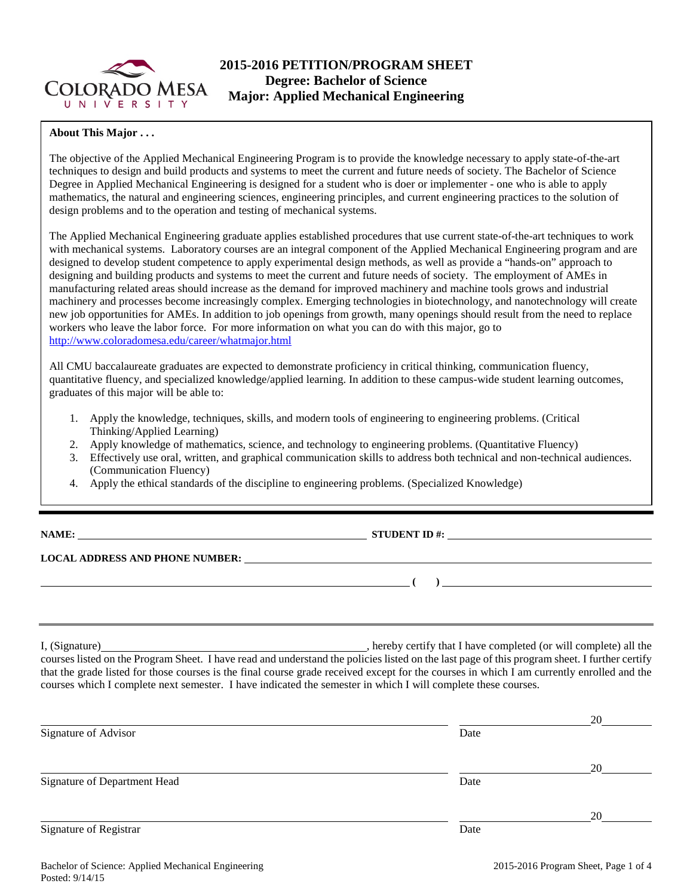

## **2015-2016 PETITION/PROGRAM SHEET Degree: Bachelor of Science Major: Applied Mechanical Engineering**

#### **About This Major . . .**

The objective of the Applied Mechanical Engineering Program is to provide the knowledge necessary to apply state-of-the-art techniques to design and build products and systems to meet the current and future needs of society. The Bachelor of Science Degree in Applied Mechanical Engineering is designed for a student who is doer or implementer - one who is able to apply mathematics, the natural and engineering sciences, engineering principles, and current engineering practices to the solution of design problems and to the operation and testing of mechanical systems.

The Applied Mechanical Engineering graduate applies established procedures that use current state-of-the-art techniques to work with mechanical systems. Laboratory courses are an integral component of the Applied Mechanical Engineering program and are designed to develop student competence to apply experimental design methods, as well as provide a "hands-on" approach to designing and building products and systems to meet the current and future needs of society. The employment of AMEs in manufacturing related areas should increase as the demand for improved machinery and machine tools grows and industrial machinery and processes become increasingly complex. Emerging technologies in biotechnology, and nanotechnology will create new job opportunities for AMEs. In addition to job openings from growth, many openings should result from the need to replace workers who leave the labor force. For more information on what you can do with this major, go to <http://www.coloradomesa.edu/career/whatmajor.html>

All CMU baccalaureate graduates are expected to demonstrate proficiency in critical thinking, communication fluency, quantitative fluency, and specialized knowledge/applied learning. In addition to these campus-wide student learning outcomes, graduates of this major will be able to:

- 1. Apply the knowledge, techniques, skills, and modern tools of engineering to engineering problems. (Critical Thinking/Applied Learning)
- 2. Apply knowledge of mathematics, science, and technology to engineering problems. (Quantitative Fluency)
- 3. Effectively use oral, written, and graphical communication skills to address both technical and non-technical audiences. (Communication Fluency)
- 4. Apply the ethical standards of the discipline to engineering problems. (Specialized Knowledge)

| NAME:                           | STUDENT ID #: $\qquad \qquad$ |  |
|---------------------------------|-------------------------------|--|
| LOCAL ADDRESS AND PHONE NUMBER: |                               |  |
|                                 |                               |  |
|                                 |                               |  |

I, (Signature) , hereby certify that I have completed (or will complete) all the courses listed on the Program Sheet. I have read and understand the policies listed on the last page of this program sheet. I further certify that the grade listed for those courses is the final course grade received except for the courses in which I am currently enrolled and the courses which I complete next semester. I have indicated the semester in which I will complete these courses.

| 20 |
|----|
|    |
|    |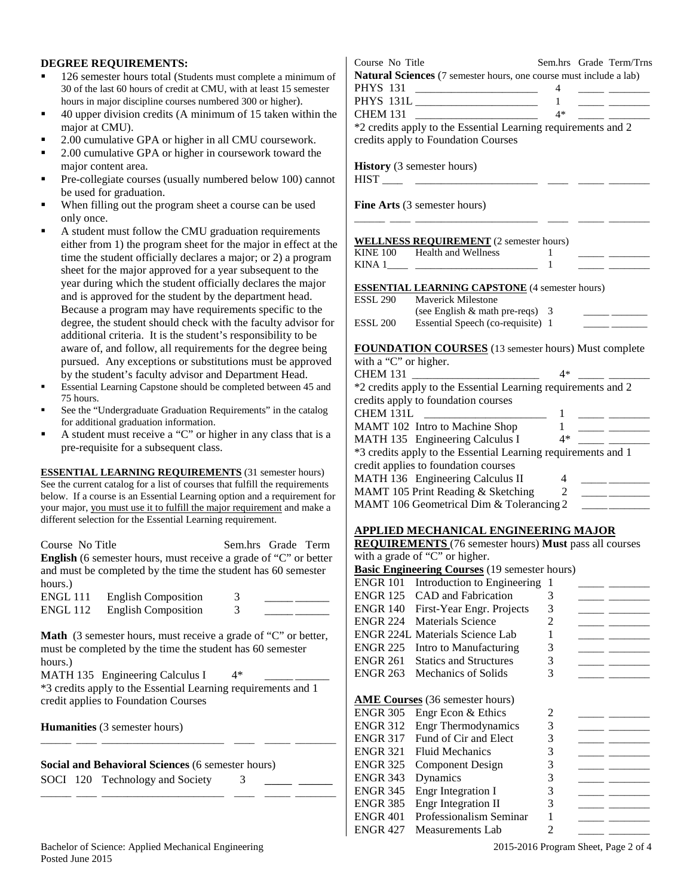#### **DEGREE REQUIREMENTS:**

- 126 semester hours total (Students must complete a minimum 30 of the last 60 hours of credit at CMU, with at least 15 semester hours in major discipline courses numbered 300 or higher).
- 40 upper division credits (A minimum of 15 taken within the major at CMU).
- 2.00 cumulative GPA or higher in all CMU coursework.
- 2.00 cumulative GPA or higher in coursework toward the major content area.
- Pre-collegiate courses (usually numbered below 100) canno be used for graduation.
- When filling out the program sheet a course can be used only once.
- A student must follow the CMU graduation requirements either from 1) the program sheet for the major in effect at the time the student officially declares a major; or 2) a program sheet for the major approved for a year subsequent to the year during which the student officially declares the major and is approved for the student by the department head. Because a program may have requirements specific to the degree, the student should check with the faculty advisor for additional criteria. It is the student's responsibility to be aware of, and follow, all requirements for the degree being pursued. Any exceptions or substitutions must be approved by the student's faculty advisor and Department Head.
- Essential Learning Capstone should be completed between 45 and 75 hours.
- See the "Undergraduate Graduation Requirements" in the catalog for additional graduation information.
- A student must receive a "C" or higher in any class that is a pre-requisite for a subsequent class.

**ESSENTIAL LEARNING REQUIREMENTS** (31 semester hours) See the current catalog for a list of courses that fulfill the requirements below. If a course is an Essential Learning option and a requirement for your major, you must use it to fulfill the major requirement and make a different selection for the Essential Learning requirement.

| Course No Title |                                                                         | Sem.hrs Grade Term |  |
|-----------------|-------------------------------------------------------------------------|--------------------|--|
|                 | <b>English</b> (6 semester hours, must receive a grade of "C" or better |                    |  |
|                 | and must be completed by the time the student has 60 semester           |                    |  |
| hours.)         |                                                                         |                    |  |
| <b>ENGL 111</b> | <b>English Composition</b>                                              | 3                  |  |
| <b>ENGL 112</b> | <b>English Composition</b>                                              | 3                  |  |

**Math** (3 semester hours, must receive a grade of "C" or better, must be completed by the time the student has 60 semester hours.) MATH 135 Engineering Calculus I  $4*$ 

\*3 credits apply to the Essential Learning requirements and 1 credit applies to Foundation Courses

\_\_\_\_\_\_ \_\_\_\_ \_\_\_\_\_\_\_\_\_\_\_\_\_\_\_\_\_\_\_\_\_\_\_\_ \_\_\_\_ \_\_\_\_\_ \_\_\_\_\_\_\_\_

\_\_\_\_\_\_ \_\_\_\_ \_\_\_\_\_\_\_\_\_\_\_\_\_\_\_\_\_\_\_\_\_\_\_\_ \_\_\_\_ \_\_\_\_\_ \_\_\_\_\_\_\_\_

**Humanities** (3 semester hours)

**Social and Behavioral Sciences** (6 semester hours)

SOCI 120 Technology and Society 3

| Course No Title |                                                                           | Sem.hrs Grade Term/Trns |                                         |  |
|-----------------|---------------------------------------------------------------------------|-------------------------|-----------------------------------------|--|
|                 | <b>Natural Sciences</b> (7 semester hours, one course must include a lab) |                         |                                         |  |
|                 | PHYS 131                                                                  | $4 \quad$               | the company of the company of           |  |
|                 |                                                                           | $1 \quad$               |                                         |  |
|                 | CHEM 131                                                                  | $4*$                    | the company of the company of           |  |
|                 | *2 credits apply to the Essential Learning requirements and 2             |                         |                                         |  |
|                 | credits apply to Foundation Courses                                       |                         |                                         |  |
|                 |                                                                           |                         |                                         |  |
|                 | <b>History</b> (3 semester hours)                                         |                         |                                         |  |
|                 |                                                                           |                         |                                         |  |
|                 |                                                                           |                         |                                         |  |
|                 | <b>Fine Arts</b> (3 semester hours)                                       |                         |                                         |  |
|                 | <u> 1990 - Johann Stein, mars et al. (</u> † 1900)                        |                         |                                         |  |
|                 |                                                                           |                         |                                         |  |
|                 | <b>WELLNESS REQUIREMENT</b> (2 semester hours)                            |                         |                                         |  |
|                 | KINE 100 Health and Wellness                                              | -1                      |                                         |  |
|                 | KINA $1 \_$ $\_$                                                          |                         |                                         |  |
|                 |                                                                           |                         |                                         |  |
|                 | <b>ESSENTIAL LEARNING CAPSTONE</b> (4 semester hours)                     |                         |                                         |  |
| ESSL 290        | <b>Maverick Milestone</b>                                                 |                         |                                         |  |
|                 | (see English $&$ math pre-reqs) 3                                         |                         | <u> Alexandro Alexandro III e a s</u>   |  |
|                 |                                                                           |                         |                                         |  |
| <b>ESSL 200</b> | Essential Speech (co-requisite) 1                                         |                         | <u> Alexandro Alexandro Alexandro I</u> |  |

| <b>CHEM 131</b>                                               | 4* |  |
|---------------------------------------------------------------|----|--|
| *2 credits apply to the Essential Learning requirements and 2 |    |  |
| credits apply to foundation courses                           |    |  |
| CHEM 131L                                                     |    |  |
| MAMT 102 Intro to Machine Shop                                |    |  |
| MATH 135 Engineering Calculus I                               | 4* |  |
| *3 credits apply to the Essential Learning requirements and 1 |    |  |
| credit applies to foundation courses                          |    |  |
| MATH 136 Engineering Calculus II                              |    |  |
| MAMT 105 Print Reading & Sketching                            | 2  |  |
| MAMT 106 Geometrical Dim & Tolerancing 2                      |    |  |
|                                                               |    |  |

#### **APPLIED MECHANICAL ENGINEERING MAJOR**

| <b>REQUIREMENTS</b> (76 semester hours) <b>Must</b> pass all courses |                                                      |                |  |  |  |  |  |
|----------------------------------------------------------------------|------------------------------------------------------|----------------|--|--|--|--|--|
|                                                                      | with a grade of "C" or higher.                       |                |  |  |  |  |  |
|                                                                      | <b>Basic Engineering Courses (19 semester hours)</b> |                |  |  |  |  |  |
| <b>ENGR 101</b>                                                      | Introduction to Engineering                          | 1              |  |  |  |  |  |
| <b>ENGR 125</b>                                                      | <b>CAD</b> and Fabrication                           | 3              |  |  |  |  |  |
| <b>ENGR 140</b>                                                      | First-Year Engr. Projects                            | 3              |  |  |  |  |  |
| <b>ENGR 224</b>                                                      | Materials Science                                    | $\overline{c}$ |  |  |  |  |  |
|                                                                      | <b>ENGR 224L Materials Science Lab</b>               | 1              |  |  |  |  |  |
| <b>ENGR 225</b>                                                      | Intro to Manufacturing                               | 3              |  |  |  |  |  |
| <b>ENGR 261</b>                                                      | <b>Statics and Structures</b>                        | 3              |  |  |  |  |  |
| <b>ENGR 263</b>                                                      | Mechanics of Solids                                  | 3              |  |  |  |  |  |
|                                                                      |                                                      |                |  |  |  |  |  |
|                                                                      | <b>AME Courses</b> (36 semester hours)               |                |  |  |  |  |  |
| <b>ENGR 305</b>                                                      | Engr Econ & Ethics                                   | 2              |  |  |  |  |  |
| <b>ENGR 312</b>                                                      | <b>Engr Thermodynamics</b>                           | 3              |  |  |  |  |  |
| <b>ENGR 317</b>                                                      | Fund of Cir and Elect                                | 3              |  |  |  |  |  |
| <b>ENGR 321</b>                                                      | <b>Fluid Mechanics</b>                               | 3              |  |  |  |  |  |
| <b>ENGR 325</b>                                                      | Component Design                                     | 3              |  |  |  |  |  |
| <b>ENGR 343</b>                                                      | Dynamics                                             | 3              |  |  |  |  |  |
| <b>ENGR 345</b>                                                      | <b>Engr Integration I</b>                            | 3              |  |  |  |  |  |
| <b>ENGR 385</b>                                                      | <b>Engr Integration II</b>                           | 3              |  |  |  |  |  |
| <b>ENGR 401</b>                                                      | Professionalism Seminar                              | 1              |  |  |  |  |  |
| <b>ENGR 427</b>                                                      | Measurements Lab                                     | $\overline{c}$ |  |  |  |  |  |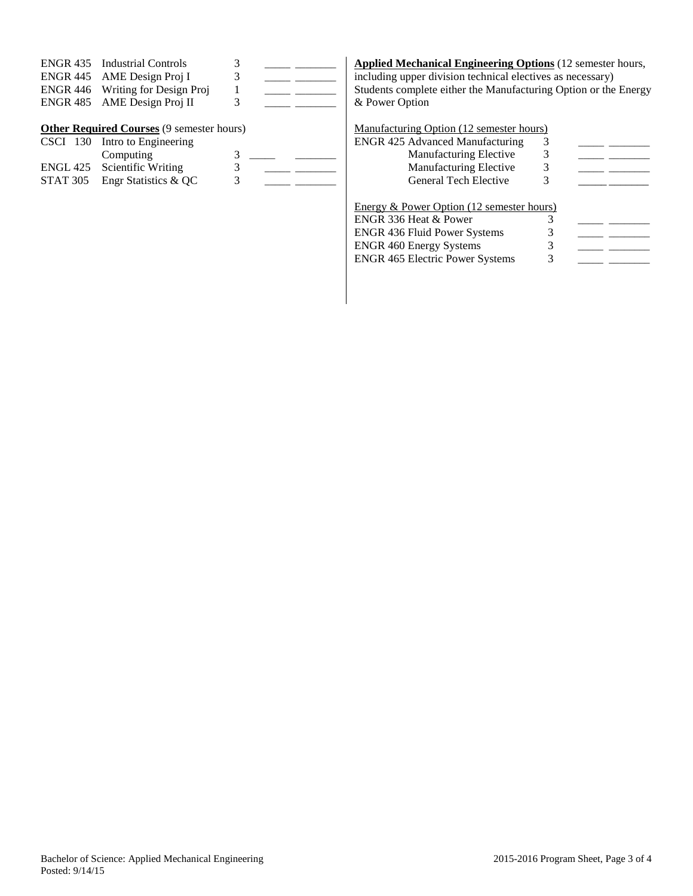|          | <b>ENGR 435</b> Industrial Controls<br>ENGR 445 AME Design Proj I<br>ENGR 446 Writing for Design Proj<br>ENGR 485 AME Design Proj II                  |  | <b>Applied Mechanical Engineering Options</b> (12 semester hours,<br>including upper division technical electives as necessary)<br>Students complete either the Manufacturing Option or the Energy<br>& Power Option |  |  |
|----------|-------------------------------------------------------------------------------------------------------------------------------------------------------|--|----------------------------------------------------------------------------------------------------------------------------------------------------------------------------------------------------------------------|--|--|
| STAT 305 | <b>Other Required Courses</b> (9 semester hours)<br>CSCI 130 Intro to Engineering<br>Computing<br>ENGL 425 Scientific Writing<br>Engr Statistics & QC |  | Manufacturing Option (12 semester hours)<br><b>ENGR 425 Advanced Manufacturing</b><br>Manufacturing Elective<br><b>Manufacturing Elective</b><br><b>General Tech Elective</b>                                        |  |  |

# Energy & Power Option (12 semester hours)

| ENGR 336 Heat & Power                  |   |  |
|----------------------------------------|---|--|
| <b>ENGR 436 Fluid Power Systems</b>    | 3 |  |
| <b>ENGR 460 Energy Systems</b>         | 3 |  |
| <b>ENGR 465 Electric Power Systems</b> | 3 |  |
|                                        |   |  |